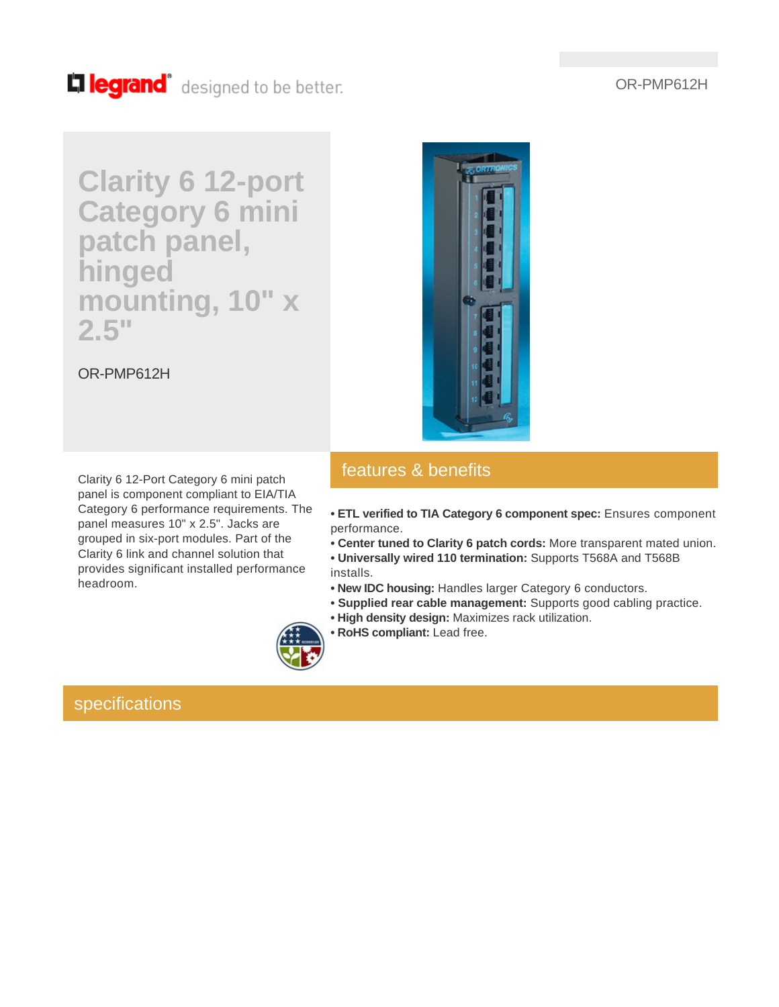### OR-PMP612H

# Lillegrand<sup>®</sup> designed to be better.

# **Clarity 6 12-port Category 6 mini patch panel, hinged mounting, 10" x 2.5"**

OR-PMP612H

Clarity 6 12-Port Category 6 mini patch panel is component compliant to EIA/TIA Category 6 performance requirements. The panel measures 10" x 2.5". Jacks are grouped in six-port modules. Part of the Clarity 6 link and channel solution that provides significant installed performance headroom.

### features & benefits

**• ETL verified to TIA Category 6 component spec:** Ensures component performance.

- **Center tuned to Clarity 6 patch cords:** More transparent mated union.
- **Universally wired 110 termination:** Supports T568A and T568B installs.
- **New IDC housing:** Handles larger Category 6 conductors.
- **Supplied rear cable management:** Supports good cabling practice.
- **High density design:** Maximizes rack utilization.
- **RoHS compliant:** Lead free.

specifications